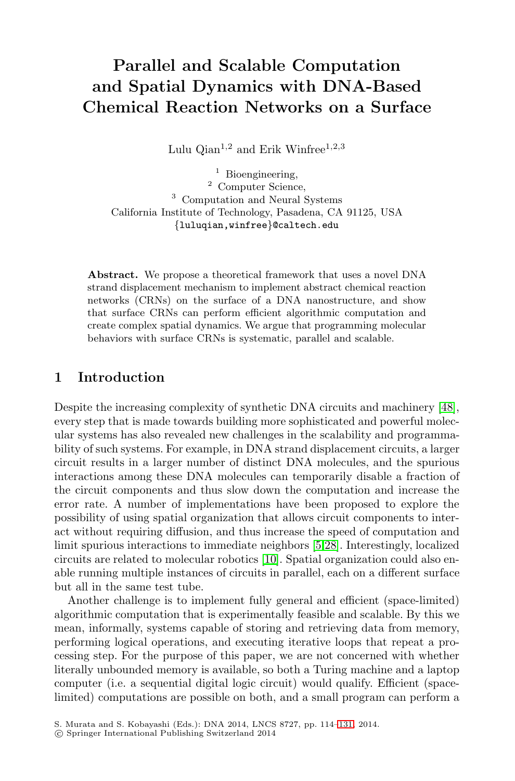# **Parallel and Scalable Computation and Spatial Dynamics with DNA-Based Chemical Reaction Networks on a Surface**

Lulu Qian<sup>1,2</sup> and Erik Winfree<sup>1,2,3</sup>

 $<sup>1</sup>$  Bioengineering,</sup> <sup>2</sup> Computer Science, <sup>3</sup> Computation and Neural Systems California Institute of Technology, Pasadena, CA 91125, USA {luluqian,winfree}@caltech.edu

**Abstract.** We propose a theoretical framework that uses a novel DNA strand displacement mechanism to implement abstract chemical reaction networks (CRNs) on the surface of a DNA nanostru[ctur](#page-16-0)e, and show that surface CRNs can perform efficient algorithmic computation and create complex spatial dynamics. We argue that programming molecular behaviors with surface CRNs is systematic, parallel and scalable.

## **1 Introduction**

Despite the increasing complexity of synthetic DNA circuits and machinery [48], every step that is made towards building more sophisticated and powerful molecular systems has also revealed ne[w](#page-14-0) [cha](#page-15-0)llenges in the scalability and programmability of such systems. [For e](#page-14-1)xample, in DNA strand displacement circuits, a larger circuit results in a larger number of distinct DNA molecules, and the spurious interactions among these DNA molecules can temporarily disable a fraction of the circuit components and thus slow down the computation and increase the error rate. A number of implementations have been proposed to explore the possibility of using spatial organization that allows circuit components to interact without requiring diffusion, and thus increase the speed of computation and limit spurious interactions to immediate neighbors [5,28]. Interestingly, localized circuits are related to molecular robotics [10]. Spatial organization could also enable running multiple instances of circuits in parallel, each on a different surface but all in the same test tube.

Another challenge is to implement fully general and efficient (space-limited) algorithmic computation that is expe[rime](#page-17-0)ntally feasible and scalable. By this we mean, informally, systems capable of storing and retrieving data from memory, performing logical operations, and executing iterative loops that repeat a processing step. For the purpose of this paper, we are not concerned with whether literally unbounded memory is available, so both a Turing machine and a laptop computer (i.e. a sequential digital logic circuit) would qualify. Efficient (spacelimited) computations are possible on both, and a small program can perform a

S. Murata and S. Kobayashi (Eds.): DNA 2014, LNCS 8727, pp. 114–131, 2014.

<sup>-</sup>c Springer International Publishing Switzerland 2014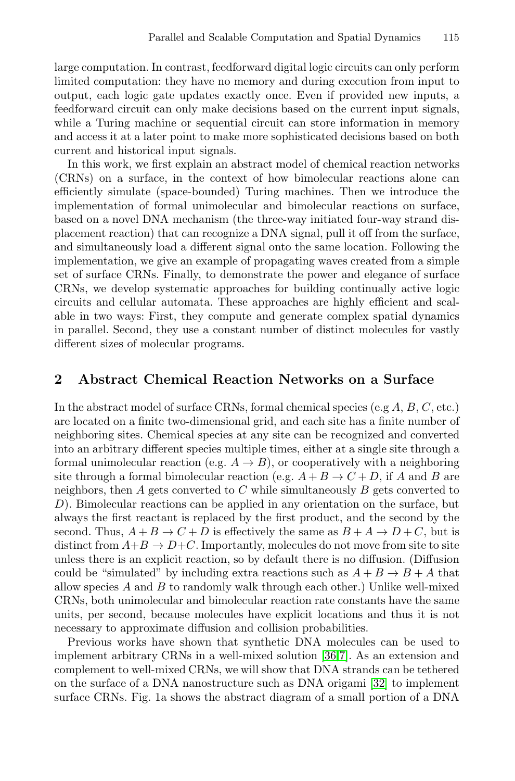large computation. In contrast, feedforward digital logic circuits can only perform limited computation: they have no memory and during execution from input to output, each logic gate updates exactly once. Even if provided new inputs, a feedforward circuit can only make decisions based on the current input signals, while a Turing machine or sequential circuit can store information in memory and access it at a later point to make more sophisticated decisions based on both current and historical input signals.

In this work, we first explain an abstract model of chemical reaction networks (CRNs) on a surface, in the context of how bimolecular reactions alone can efficiently simulate (space-bounded) Turing machines. Then we introduce the implementation of formal unimolecular and bimolecular reactions on surface, based on a novel DNA mechanism (the three-way initiated four-way strand displacement reaction) that can recognize a DNA signal, pull it off from the surface, and simultaneously load a different signal onto the same location. Following the implementation, we give an example of propagating waves created from a simple set of surface CRNs. Finally, to demonstrate the power and elegance of surface CRNs, we develop systematic approaches for building continually active logic circuits and cellular automata. These approaches are highly efficient and scalable in two ways: First, they compute and generate complex spatial dynamics in parallel. Second, they use a constant number of distinct molecules for vastly different sizes of molecular programs.

## **2 Abstract Chemical Reaction Networks on a Surface**

In the abstract model of surface CRNs, formal chemical species (e.g A, B, C, etc.) are located on a finite two-dimensional grid, and each site has a finite number of neighboring sites. Chemical species at any site can be recognized and converted into an arbitrary different species multiple times, either at a single site through a formal unimolecular reaction (e.g.  $A \rightarrow B$ ), or cooperatively with a neighboring site through a formal bimolecular reaction (e.g.  $A + B \rightarrow C + D$ , if A and B are neighbors, then A gets converted to C while simultaneously B gets converted to D). Bimolecular reactions can be applied in any orientation on the surface, but always the first reactant is replaced by the first product, and the second by the second. Thus,  $A + B \rightarrow C + D$  is effectively the same as  $B + A \rightarrow D + C$ , but is distinct from  $A+B \to D+C$ . Impo[rtan](#page-15-1)[tl](#page-14-2)y, molecules do not move from site to site unless there is an explicit reaction, so by default there is no diffusion. (Diffusion could be "simulated" by including extra rea[ctio](#page-15-2)ns such as  $A + B \rightarrow B + A$  that allow species A and B to randomly walk through each other.) Unlike well-mixed CRNs, both unimolecular and bimolecular reaction rate constants have the same units, per second, because molecules have explicit locations and thus it is not necessary to approximate diffusion and collision probabilities.

Previous works have shown that synthetic DNA molecules can be used to implement arbitrary CRNs in a well-mixed solution [36,7]. As an extension and complement to well-mixed CRNs, we will show that DNA strands can be tethered on the surface of a DNA nanostructure such as DNA origami [32] to implement surface CRNs. Fig. 1a shows the abstract diagram of a small portion of a DNA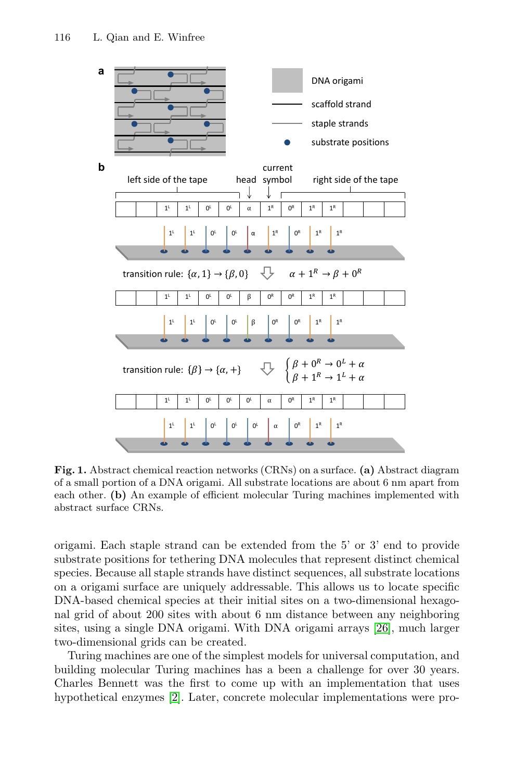

**Fig. 1.** Abstract chemical reaction networks (CRNs) on a surface. **(a)** Abstract diagram of a small portion of a DNA origami. All substrate locations are about 6 nm apart from each other. **(b)** An example of efficient molecular Turing machines implemented with abstract surface CRNs.

origami. Each staple strand can be extended from the 5' or 3' end to provide substrate positions for tethering DNA molecules that represent distinct chemical species. Because all staple strands have distinct sequences, all substrate locations on a [or](#page-14-3)igami surface are uniquely addressable. This allows us to locate specific DNA-based chemical species at their initial sites on a two-dimensional hexagonal grid of about 200 sites with about 6 nm distance between any neighboring sites, using a single DNA origami. With DNA origami arrays [26], much larger two-dimensional grids can be created.

Turing machines are one of the simplest models for universal computation, and building molecular Turing machines has a been a challenge for over 30 years. Charles Bennett was the first to come up with an implementation that uses hypothetical enzymes [2]. Later, concrete molecular implementations were pro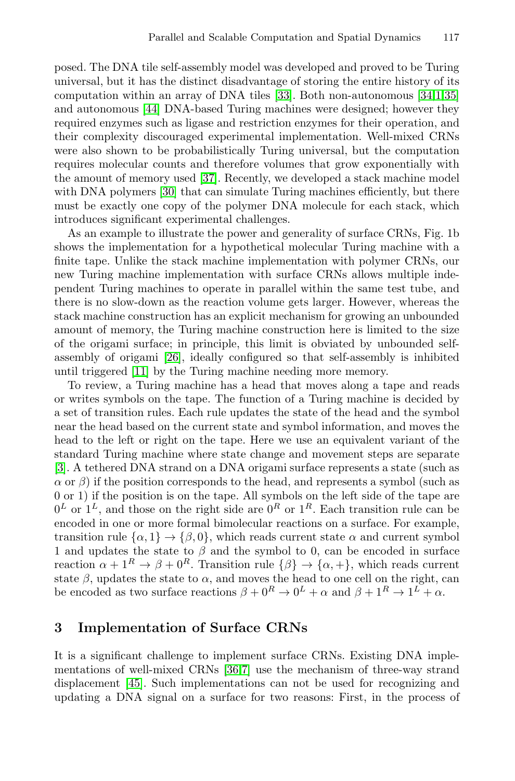posed. The [DN](#page-15-3)A tile self-assembly model was developed and proved to be Turing un[iver](#page-15-4)sal, but it has the distinct disadvantage of storing the entire history of its computation within an array of DNA tiles [33]. Both non-autonomous [34,1,35] and autonomous [44] DNA-based Turing machines were designed; however they required enzymes such as ligase and restriction enzymes for their operation, and their complexity discouraged experimental implementation. Well-mixed CRNs were also shown to be probabilistically Turing universal, but the computation requires molecular counts and therefore volumes that grow exponentially with the amount of memory used [37]. Recently, we developed a stack machine model with DNA polymers [30] that can simulate Turing machines efficiently, but there must be exactly one copy of the polymer DNA molecule for each stack, which introduces significant experimental challenges.

As an example to illustrate the power and generality of surface CRNs, Fig. 1b sho[ws](#page-15-5) the implementation for a hypothetical molecular Turing machine with a [fi](#page-14-4)nite tape. Unlike the stack machine implementation with polymer CRNs, our new Turing machine implementation with surface CRNs allows multiple independent Turing machines to operate in parallel within the same test tube, and there is no slow-down as the reaction volume gets larger. However, whereas the stack machine construction has an explicit mechanism for growing an unbounded amount of memory, the Turing machine construction here is limited to the size of the origami surface; in principle, this limit is obviated by unbounded selfassembly of origami [26], ideally configured so that self-assembly is inhibited until triggered [11] by the Turing machine needing more memory.

To review, a Turing machine has a head that moves along a tape and reads or writes symbols on the tape. The function of a Turing machine is decided by a set of transition rules. Each rule updates the state of the head and the symbol near the head based on the current state and symbol information, and moves the head to the left or right on the tape. Here we use an equivalent variant of the standard Turing machine where state change and movement steps are separate [3]. A tethered DNA strand on a DNA origami surface represents a state (such as  $\alpha$  or  $\beta$ ) if the position corresponds to the head, and represents a symbol (such as 0 or 1) if the position is on the tape. All symbols on the left side of the tape are  $0^L$  or  $1^L$ , and those on the right side are  $0^R$  or  $1^R$ . Each transition rule can be encoded in one or more formal bimolecular reactions on a surface. For example, transition rule  $\{\alpha, 1\} \rightarrow \{\beta, 0\}$ , which reads current state  $\alpha$  and current symbol 1 and updates the state to  $\beta$  and the symbol to 0, can be encoded in surface reaction  $\alpha + 1^R \rightarrow \beta + 0^R$ . Transition rule  $\{\beta\} \rightarrow \{\alpha, +\}$ , which reads current state  $\beta$ , updates the state to  $\alpha$ , and moves the head to one cell on the right, can be encoded as two surface reactions  $\beta + 0^R \rightarrow 0^L + \alpha$  and  $\beta + 1^R \rightarrow 1^L + \alpha$ .

## **3 Implementation of Surface CRNs**

It is a significant challenge to implement surface CRNs. Existing DNA implementations of well-mixed CRNs [36,7] use the mechanism of three-way strand displacement [45]. Such implementations can not be used for recognizing and updating a DNA signal on a surface for two reasons: First, in the process of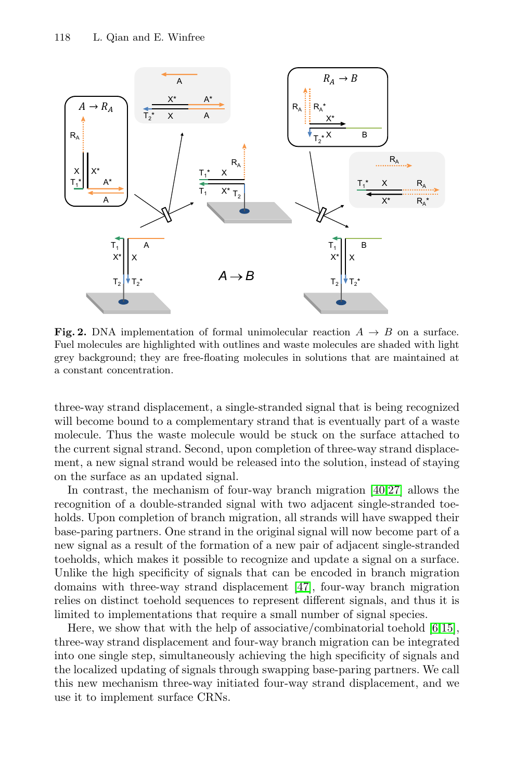

**Fig. 2.** DNA implementation of formal unimolecular reaction  $A \rightarrow B$  on a surface. Fuel molecules are highlighted with outlines and waste molecules are shaded with light grey background; they are free-floating molecules in solutions that are maintained at a constant concentration.

three-way strand displacement, a single-stranded signal that is being recognized will become bound to a complementary strand that is eventually part of a waste molecule. Thus the waste molecule would be stuck on the surface attached to the current signal strand. Second, upon completion of three-way strand displacement, a new signal strand would be released into the solution, instead of staying on the surface as an updated [sig](#page-16-1)nal.

In contrast, the mechanism of four-way branch migration [40,27] allows the recognition of a double-stranded signal with two adjacent single-stranded toeholds. Upon completion of branch migration, all strands [w](#page-14-5)[ill h](#page-14-6)ave swapped their base-paring partners. One strand in the original signal will now become part of a new signal as a result of the formation of a new pair of adjacent single-stranded toeholds, which makes it possible to recognize and update a signal on a surface. Unlike the high specificity of signals that can be encoded in branch migration domains with three-way strand displacement [47], four-way branch migration relies on distinct toehold sequences to represent different signals, and thus it is limited to implementations that require a small number of signal species.

Here, we show that with the help of associative/combinatorial toehold [6,15], three-way strand displacement and four-way branch migration can be integrated into one single step, simultaneously achieving the high specificity of signals and the localized updating of signals through swapping base-paring partners. We call this new mechanism three-way initiated four-way strand displacement, and we use it to implement surface CRNs.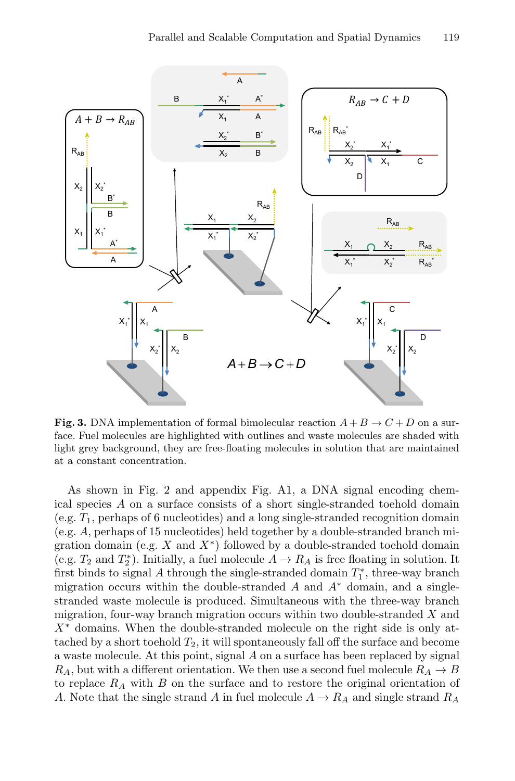

**Fig. 3.** DNA implementation of formal bimolecular reaction  $A + B \rightarrow C + D$  on a surface. Fuel molecules are highlighted with outlines and waste molecules are shaded with light grey background, they are free-floating molecules in solution that are maintained at a constant concentration.

As shown in Fig. 2 and appendix Fig. A1, a DNA signal encoding chemical species A on a surface consists of a short single-stranded toehold domain  $(e.g. T<sub>1</sub>, perhaps of 6 nucleotides) and a long single-stranded recognition domain$ (e.g. A, perhaps of 15 nucleotides) held together by a double-stranded branch migration domain (e.g. X and  $X^*$ ) followed by a double-stranded toehold domain (e.g.  $T_2$  and  $T_2^*$ ). Initially, a fuel molecule  $A \to R_A$  is free floating in solution. It first binds to signal A through the single-stranded domain  $T_1^*$ , three-way branch migration occurs within the double-stranded A and  $A^*$  domain, and a singlestranded waste molecule is produced. Simultaneous with the three-way branch migration, four-way branch migration occurs within two double-stranded  $X$  and  $X^*$  domains. When the double-stranded molecule on the right side is only attached by a short toehold  $T_2$ , it will spontaneously fall off the surface and become a waste molecule. At this point, signal A on a surface has been replaced by signal  $R_A$ , but with a different orientation. We then use a second fuel molecule  $R_A \rightarrow B$ to replace  $R_A$  with  $B$  on the surface and to restore the original orientation of A. Note that the single strand A in fuel molecule  $A \to R_A$  and single strand  $R_A$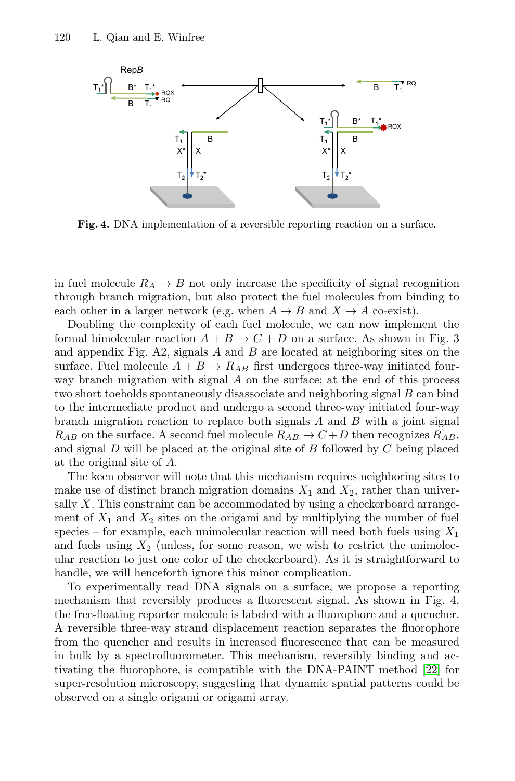

**Fig. 4.** DNA implementation of a reversible reporting reaction on a surface.

in fuel molecule  $R_A \rightarrow B$  not only increase the specificity of signal recognition through branch migration, but also protect the fuel molecules from binding to each other in a larger network (e.g. when  $A \to B$  and  $X \to A$  co-exist).

Doubling the complexity of each fuel molecule, we can now implement the formal bimolecular reaction  $A + B \rightarrow C + D$  on a surface. As shown in Fig. 3 and appendix Fig. A2, signals  $A$  and  $B$  are located at neighboring sites on the surface. Fuel molecule  $A + B \rightarrow R_{AB}$  first undergoes three-way initiated fourway branch migration with signal  $A$  on the surface; at the end of this process two short toeholds spontaneously disassociate and neighboring signal B can bind to the intermediate product and undergo a second three-way initiated four-way branch migration reaction to replace both signals  $A$  and  $B$  with a joint signal  $R_{AB}$  on the surface. A second fuel molecule  $R_{AB} \rightarrow C+D$  then recognizes  $R_{AB}$ , and signal  $D$  will be placed at the original site of  $B$  followed by  $C$  being placed at the original site of A.

The keen observer will note that this mechanism requires neighboring sites to make use of distinct branch migration domains  $X_1$  and  $X_2$ , rather than universally  $X$ . This constraint can be accommodated by using a checkerboard arrangement of  $X_1$  and  $X_2$  sites on the origami and by multiplying the number of fuel species – for example, each unimolecular reaction will need both fuels using  $X_1$ and fuels using  $X_2$  (unless, for some reason, we wish to restrict the unimolecular reaction to just one color of the checkerboard). [As it](#page-14-7) is straightforward to handle, we will henceforth ignore this minor complication.

To experimentally read DNA signals on a surface, we propose a reporting mechanism that reversibly produces a fluorescent signal. As shown in Fig. 4, the free-floating reporter molecule is labeled with a fluorophore and a quencher. A reversible three-way strand displacement reaction separates the fluorophore from the quencher and results in increased fluorescence that can be measured in bulk by a spectrofluorometer. This mechanism, reversibly binding and activating the fluorophore, is compatible with the DNA-PAINT method [22] for super-resolution microscopy, suggesting that dynamic spatial patterns could be observed on a single origami or origami array.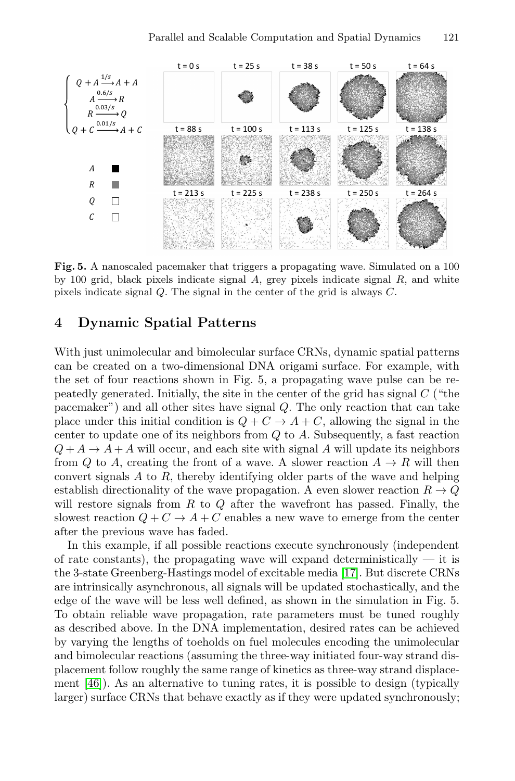

**Fig. 5.** A nanoscaled pacemaker that triggers a propagating wave. Simulated on a 100 by 100 grid, black pixels indicate signal *A*, grey pixels indicate signal *R*, and white pixels indicate signal *Q*. The signal in the center of the grid is always *C*.

## **4 Dynamic Spatial Patterns**

With just unimolecular and bimolecular surface CRNs, dynamic spatial patterns can be created on a two-dimensional DNA origami surface. For example, with the set of four reactions shown in Fig. 5, a propagating wave pulse can be repeatedly generated. Initially, the site in the center of the grid has signal  $C$  ("the pacemaker") and all other sites have signal Q. The only reaction that can take place under this initial condition is  $Q + C \rightarrow A + C$ , allowing the signal in the center to update one of its neighbors from Q to A. Subsequently, a fast reaction  $Q + A \rightarrow A + A$  will occur, and each site with signal A will update its neighbors from Q to A, creating the front of a [wave](#page-14-8). A slower reaction  $A \to R$  will then convert signals  $A$  to  $R$ , thereby identifying older parts of the wave and helping establish directionality of the wave propagation. A even slower reaction  $R \to Q$ will restore signals from  $R$  to  $Q$  after the wavefront has passed. Finally, the slowest reaction  $Q + C \rightarrow A + C$  enables a new wave to emerge from the center after the previous wave has faded.

In this example, if all possible reactions execute synchronously (independent of rate constants), the propagating wave will expand deterministically  $-$  it is the 3-state Greenberg-Hastings model of excitable media [17]. But discrete CRNs are intrinsically asynchronous, all signals will be updated stochastically, and the edge of the wave will be less well defined, as shown in the simulation in Fig. 5. To obtain reliable wave propagation, rate parameters must be tuned roughly as described above. In the DNA implementation, desired rates can be achieved by varying the lengths of toeholds on fuel molecules encoding the unimolecular and bimolecular reactions (assuming the three-way initiated four-way strand displacement follow roughly the same range of kinetics as three-way strand displacement [46]). As an alternative to tuning rates, it is possible to design (typically larger) surface CRNs that behave exactly as if they were updated synchronously;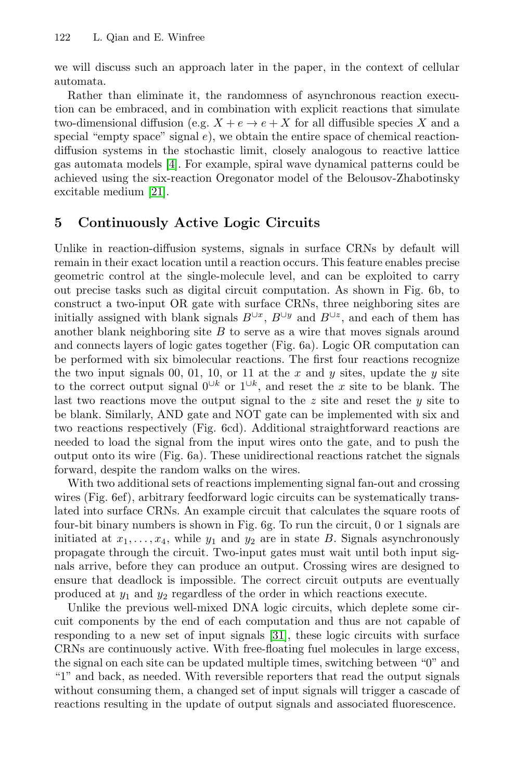we will discuss such an approach later in the paper, in the context of cellular [auto](#page-14-9)mata.

Rather than eliminate it, the randomness of asynchronous reaction execution can be embraced, and in combination with explicit reactions that simulate two-dimensional diffusion (e.g.  $X + e \rightarrow e + X$  for all diffusible species X and a special "empty space" signal  $e$ ), we obtain the entire space of chemical reactiondiffusion systems in the stochastic limit, closely analogous to reactive lattice gas automata models [4]. For example, spiral wave dynamical patterns could be achieved using the six-reaction Oregonator model of the Belousov-Zhabotinsky excitable medium [21].

#### **5 Continuously Active Logic Circuits**

Unlike in reaction-diffusion systems, signals in surface CRNs by default will remain in their exact location until a reaction occurs. This feature enables precise geometric control at the single-molecule level, and can be exploited to carry out precise tasks such as digital circuit computation. As shown in Fig. 6b, to construct a two-input OR gate with surface CRNs, three neighboring sites are initially assigned with blank signals  $B^{\cup x}$ ,  $B^{\cup y}$  and  $B^{\cup z}$ , and each of them has another blank neighboring site  $B$  to serve as a wire that moves signals around and connects layers of logic gates together (Fig. 6a). Logic OR computation can be performed with six bimolecular reactions. The first four reactions recognize the two input signals  $00, 01, 10,$  or  $11$  at the x and y sites, update the y site to the correct output signal  $0^{\cup k}$  or  $1^{\cup k}$ , and reset the x site to be blank. The last two reactions move the output signal to the  $z$  site and reset the  $y$  site to be blank. Similarly, AND gate and NOT gate can be implemented with six and two reactions respectively (Fig. 6cd). Additional straightforward reactions are needed to load the signal from the input wires onto the gate, and to push the output onto its wire (Fig. 6a). These unidirectional reactions ratchet the signals forward, despite the random walks on the wires.

With two additional sets of reactions implementing signal fan-out and crossing wires (Fig. 6ef), arbitrary feedforward logic circuits can be systematically translated into surface CRNs. An example circuit that calculates the square roots of four-bit binary numbers [is sh](#page-15-6)own in Fig. 6g. To run the circuit, 0 or 1 signals are initiated at  $x_1, \ldots, x_4$ , while  $y_1$  and  $y_2$  are in state B. Signals asynchronously propagate through the circuit. Two-input gates must wait until both input signals arrive, before they can produce an output. Crossing wires are designed to ensure that deadlock is impossible. The correct circuit outputs are eventually produced at  $y_1$  and  $y_2$  regardless of the order in which reactions execute.

Unlike the previous well-mixed DNA logic circuits, which deplete some circuit components by the end of each computation and thus are not capable of responding to a new set of input signals [31], these logic circuits with surface CRNs are continuously active. With free-floating fuel molecules in large excess, the signal on each site can be updated multiple times, switching between "0" and "1" and back, as needed. With reversible reporters that read the output signals without consuming them, a changed set of input signals will trigger a cascade of reactions resulting in the update of output signals and associated fluorescence.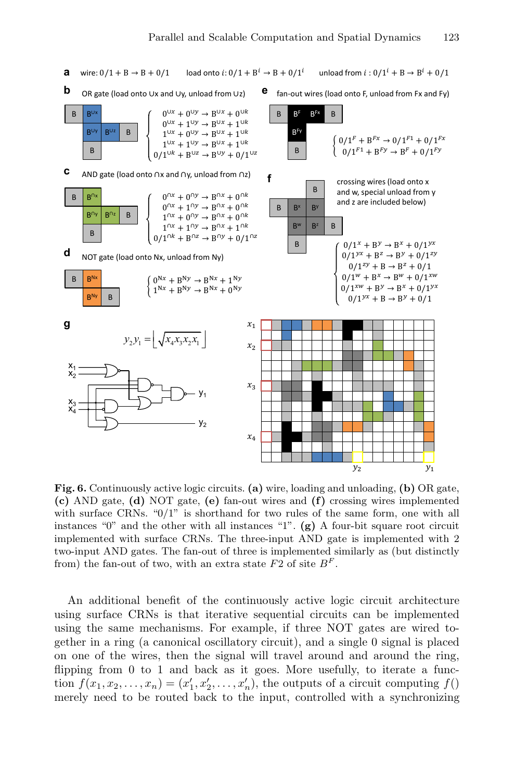

**Fig. 6.** Continuously active logic circuits. **(a)** wire, loading and unloading, **(b)** OR gate, **(c)** AND gate, **(d)** NOT gate, **(e)** fan-out wires and **(f)** crossing wires implemented with surface CRNs. " $0/1$ " is shorthand for two rules of the same form, one with all instances "0" and the other with all instances "1". **(g)** A four-bit square root circuit implemented with surface CRNs. The three-input AND gate is implemented with 2 two-input AND gates. The fan-out of three is implemented similarly as (but distinctly from) the fan-out of two, with an extra state  $F2$  of site  $B<sup>F</sup>$ .

An additional benefit of the continuously active logic circuit architecture using surface CRNs is that iterative sequential circuits can be implemented using the same mechanisms. For example, if three NOT gates are wired together in a ring (a canonical oscillatory circuit), and a single 0 signal is placed on one of the wires, then the signal will travel around and around the ring, flipping from  $0$  to  $1$  and back as it goes. More usefully, to iterate a function  $f(x_1, x_2,...,x_n) = (x'_1, x'_2,...,x'_n)$ , the outputs of a circuit computing  $f()$ merely need to be routed back to the input, controlled with a synchronizing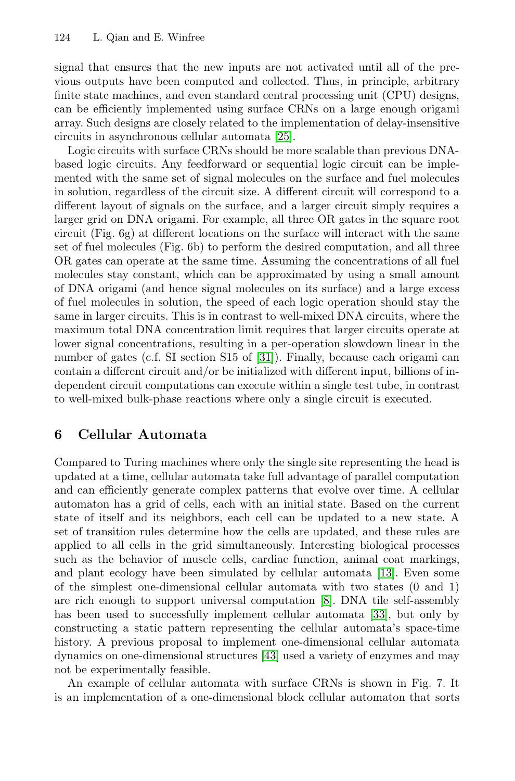signal that ensures that the new inputs are not activated until all of the previous outputs have been computed and collected. Thus, in principle, arbitrary finite state machines, and even standard central processing unit (CPU) designs, can be efficiently implemented using surface CRNs on a large enough origami array. Such designs are closely related to the implementation of delay-insensitive circuits in asynchronous cellular automata [25].

Logic circuits with surface CRNs should be more scalable than previous DNAbased logic circuits. Any feedforward or sequential logic circuit can be implemented with the same set of signal molecules on the surface and fuel molecules in solution, regardless of the circuit size. A different circuit will correspond to a different layout of signals on the surface, and a larger circuit simply requires a larger grid on DNA origami. For example, all three OR gates in the square root circuit (Fig. 6g) at different locations on the surface will interact with the same set of fuel molecules ([Fig](#page-15-6). 6b) to perform the desired computation, and all three OR gates can operate at the same time. Assuming the concentrations of all fuel molecules stay constant, which can be approximated by using a small amount of DNA origami (and hence signal molecules on its surface) and a large excess of fuel molecules in solution, the speed of each logic operation should stay the same in larger circuits. This is in contrast to well-mixed DNA circuits, where the maximum total DNA concentration limit requires that larger circuits operate at lower signal concentrations, resulting in a per-operation slowdown linear in the number of gates (c.f. SI section S15 of [31]). Finally, because each origami can contain a different circuit and/or be initialized with different input, billions of independent circuit computations can execute within a single test tube, in contrast to well-mixed bulk-phase reactions where only a single circuit is executed.

#### **6 Cellular Automata**

Compared to Turing machines where only the [sin](#page-14-10)gle site representing the head is updated at a time, cellular automata take full advantage of parallel computation and can efficiently generate compl[ex](#page-14-11) patterns that evolve over time. A cellular automaton has a grid of cells, each with an [ini](#page-15-8)tial state. Based on the current state of itself and its neighbors, each cell can be updated to a new state. A set of transition rules determine how the cells are updated, and these rules are applied to all cells in [the](#page-15-9) grid simultaneously. Interesting biological processes such as the behavior of muscle cells, cardiac function, animal coat markings, and plant ecology have been simulated by cellular automata [13]. Even some of the simplest one-dimensional cellular automata with two states (0 and 1) are rich enough to support universal computation [8]. DNA tile self-assembly has been used to successfully implement cellular automata [33], but only by constructing a static pattern representing the cellular automata's space-time history. A previous proposal to implement one-dimensional cellular automata dynamics on one-dimensional structures [43] used a variety of enzymes and may not be experimentally feasible.

An example of cellular automata with surface CRNs is shown in Fig. 7. It is an implementation of a one-dimensional block cellular automaton that sorts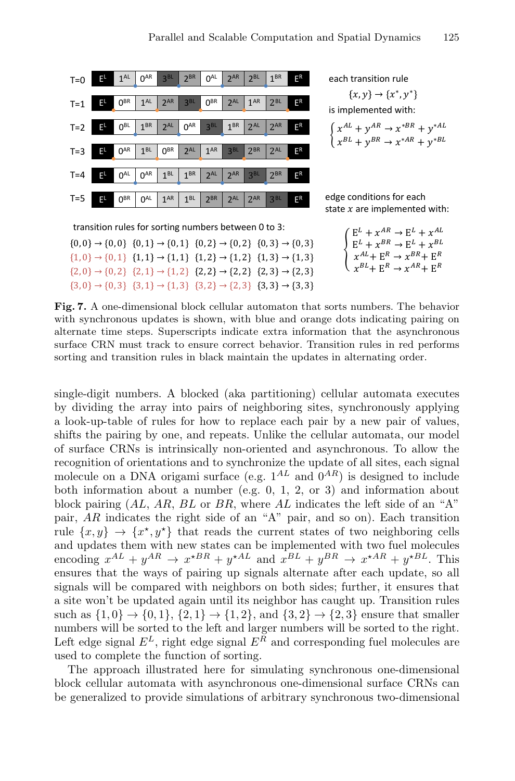| $T=0$   | E٢ | 1 <sup>AL</sup> | $0^{AR}$        | 3 <sup>BL</sup> | 2 <sup>BR</sup>     | $0^{\text{AL}}$ | 2 <sup>AR</sup> | 2 <sup>BL</sup> | 1 <sup>BR</sup> | $E^R$       |  |
|---------|----|-----------------|-----------------|-----------------|---------------------|-----------------|-----------------|-----------------|-----------------|-------------|--|
| $T=1$   | E٢ | $0^{BR}$        | $1^{\text{AL}}$ | 2 <sup>AR</sup> | 3 <sup>BL</sup>     | $0^{BR}$        | 2 <sup>AL</sup> | 1 <sup>AR</sup> | 2 <sup>BL</sup> | ER          |  |
| $T=2$   | E٢ | 0 <sup>BL</sup> | 1 <sup>BR</sup> |                 | $2^{AL}$   $0^{AR}$ | 3 <sup>BL</sup> | 1 <sup>BR</sup> | 2 <sup>AL</sup> | 2 <sup>AR</sup> | ER          |  |
| $T=3$   | E۲ | $0^{AR}$        | 1 <sup>BL</sup> | $0^{BR}$        | 2 <sup>AL</sup>     | 1 <sup>AR</sup> | <b>3BL</b>      | $2^{BR}$        | $2^{AL}$        | $E^{\rm R}$ |  |
| $T = 4$ | 댙  | $0^{\text{AL}}$ | $0^{AR}$        | 1 <sup>BL</sup> | 1 <sup>BR</sup>     | 2 <sup>AL</sup> | 2 <sup>AR</sup> | 3 <sup>BL</sup> | 2 <sup>BR</sup> | $E^R$       |  |
| $T=5$   | E۴ | $0^{BR}$        | $0^{\text{AL}}$ | 1 <sup>AR</sup> | 1 <sup>BL</sup>     | 2 <sup>BR</sup> | 2 <sup>AL</sup> | 2 <sup>AR</sup> | <b>3BL</b>      | $E^R$       |  |

each transition rule

```
\begin{cases} x^{AL} + y^{AR} \rightarrow x^{*BR} + y^{*AL} \\ x^{BL} + y^{BR} \rightarrow x^{*AR} + y^{*BL} \end{cases}{x, y} \rightarrow {x^*, y^*}is implemented with:
```
edge conditions for each state  $x$  are implemented with:

> $E^L$  +  $x^{AR}$   $\rightarrow$   $E^L$  +  $x^{AL}$  $E^L + x^{BR} \rightarrow E^L + x^{BL}$  $x^{AL}$  +  $E^R \rightarrow x^{BR}$  +  $E^R$  $x^{BL} + E^{R} \rightarrow x^{AR} + E^{R}$

 $\big\{$ 

transition rules for sorting numbers between 0 to 3:

 $\{0,0\} \rightarrow \{0,0\}$   $\{0,1\} \rightarrow \{0,1\}$   $\{0,2\} \rightarrow \{0,2\}$   $\{0,3\} \rightarrow \{0,3\}$  $\{1,0\} \rightarrow \{0,1\} \ \ \{1,1\} \rightarrow \{1,1\} \ \ \{1,2\} \rightarrow \{1,2\} \ \ \{1,3\} \rightarrow \{1,3\}$  $\{2,0\} \rightarrow \{0,2\} \{2,1\} \rightarrow \{1,2\} \{2,2\} \rightarrow \{2,2\} \{2,3\} \rightarrow \{2,3\}$  $\{3,0\} \rightarrow \{0,3\} \{3,1\} \rightarrow \{1,3\} \{3,2\} \rightarrow \{2,3\} \{3,3\} \rightarrow \{3,3\}$ 

**Fig. 7.** A one-dimensional block cellular automaton that sorts numbers. The behavior with synchronous updates is shown, with blue and orange dots indicating pairing on alternate time steps. Superscripts indicate extra information that the asynchronous surface CRN must track to ensure correct behavior. Transition rules in red performs sorting and transition rules in black maintain the updates in alternating order.

single-digit numbers. A blocked (aka partitioning) cellular automata executes by dividing the array into pairs of neighboring sites, synchronously applying a look-up-table of rules for how to replace each pair by a new pair of values, shifts the pairing by one, and repeats. Unlike the cellular automata, our model of surface CRNs is intrinsically non-oriented and asynchronous. To allow the recognition of orientations and to synchronize the update of all sites, each signal molecule on a DNA origami surface (e.g.  $1^{AL}$  and  $0^{AR}$ ) is designed to include both information about a number (e.g. 0, 1, 2, or 3) and information about block pairing  $(AL, AR, BL \text{ or } BR,$  where AL indicates the left side of an "A" pair, AR indicates the right side of an "A" pair, and so on). Each transition rule  $\{x, y\}$   $\rightarrow$   $\{x^*, y^*\}$  that reads the current states of two neighboring cells and updates them with new states can be implemented with two fuel molecules encoding  $x^{AL} + y^{AR} \rightarrow x^{\star BR} + y^{\star AL}$  and  $x^{BL} + y^{BR} \rightarrow x^{\star AR} + y^{\star BL}$ . This ensures that the ways of pairing up signals alternate after each update, so all signals will be compared with neighbors on both sides; further, it ensures that a site won't be updated again until its neighbor has caught up. Transition rules such as  $\{1, 0\} \rightarrow \{0, 1\}, \{2, 1\} \rightarrow \{1, 2\}, \text{and } \{3, 2\} \rightarrow \{2, 3\} \text{ ensure that smaller }$ numbers will be sorted to the left and larger numbers will be sorted to the right. Left edge signal  $E^L$ , right edge signal  $E^R$  and corresponding fuel molecules are used to complete the function of sorting.

The approach illustrated here for simulating synchronous one-dimensional block cellular automata with asynchronous one-dimensional surface CRNs can be generalized to provide simulations of arbitrary synchronous two-dimensional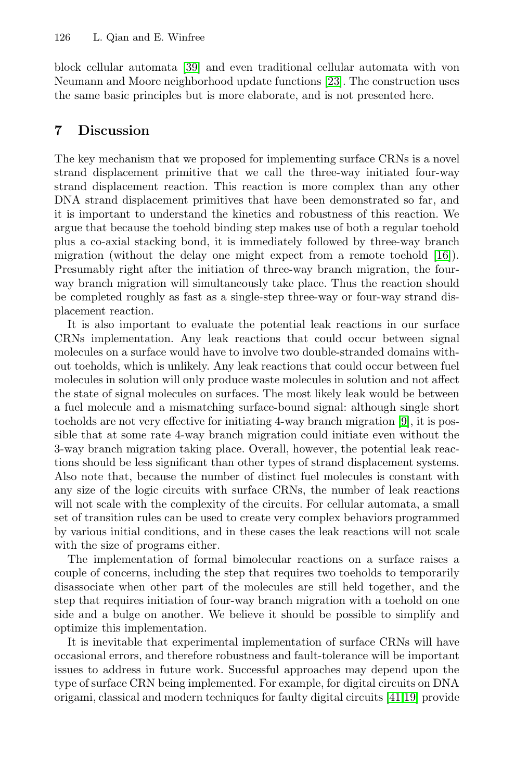block cellular automata [39] and even traditional cellular automata with von Neumann and Moore neighborhood update functions [23]. The construction uses the same basic principles but is more elaborate, and is not presented here.

# **7 Discussion**

The key mechanism that we proposed for implementing s[urf](#page-14-12)ace CRNs is a novel strand displacement primitive that we call the three-way initiated four-way strand displacement reaction. This reaction is more complex than any other DNA strand displacement primitives that have been demonstrated so far, and it is important to understand the kinetics and robustness of this reaction. We argue that because the toehold binding step makes use of both a regular toehold plus a co-axial stacking bond, it is immediately followed by three-way branch migration (without the delay one might expect from a remote toehold [16]). Presumably right after the initiation of three-way branch migration, the fourway branch migration will simultaneously take place. Thus the reaction should be completed roughly as fast as a single-step three-way or four-way strand displacement reaction.

It is also important to evaluate the potential leak reactions in our surface CRNs implementation. Any leak reactions that could occur between signal molecules on a surface would have to involve two double-stranded domains without toeholds, which is unlikely. Any leak reactions that could occur between fuel molecules in solution will only produce waste molecules in solution and not affect the state of signal molecules on surfaces. The most likely leak would be between a fuel molecule and a mismatching surface-bound signal: although single short toeholds are not very effective for initiating 4-way branch migration [9], it is possible that at some rate 4-way branch migration could initiate even without the 3-way branch migration taking place. Overall, however, the potential leak reactions should be less significant than other types of strand displacement systems. Also note that, because the number of distinct fuel molecules is constant with any size of the logic circuits with surface CRNs, the number of leak reactions will not scale with the complexity of the circuits. For cellular automata, a small set of transition rules can be used to create very complex behaviors programmed by various initial conditions, and in these cases the leak reactions will not scale with the size of programs either.

The implementation of formal bimolecular reactions on a surface raises a couple of concerns, including the step that requires two toeholds to temporarily disassociate when other part of the molecules [are](#page-15-10) [st](#page-14-13)ill held together, and the step that requires initiation of four-way branch migration with a toehold on one side and a bulge on another. We believe it should be possible to simplify and optimize this implementation.

It is inevitable that experimental implementation of surface CRNs will have occasional errors, and therefore robustness and fault-tolerance will be important issues to address in future work. Successful approaches may depend upon the type of surface CRN being implemented. For example, for digital circuits on DNA origami, classical and modern techniques for faulty digital circuits [41,19] provide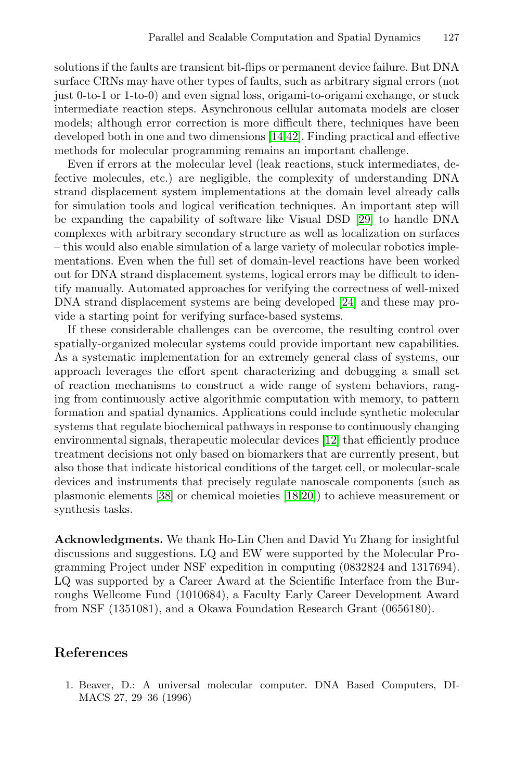solutions if the faults are transient bit-flips or permanent device failure. But DNA surface CRNs may have other types of faults, such as arbitrary signal errors (not just 0-to-1 or 1-to-0) and even signal loss, origami-to-origami exchange, or stuck intermediate reaction steps. Asynchrono[us c](#page-15-12)ellular automata models are closer models; although error correction is more difficult there, techniques have been developed both in one and two dimensions [14,42]. Finding practical and effective methods for molecular programming remains an important challenge.

Even if errors at the molecular level (leak reactions, stuck intermediates, defective molecules, etc.) are negligible, the complexity of understanding DNA strand displacement system impleme[ntat](#page-15-13)ions at the domain level already calls for simulation tools and logical verification techniques. An important step will be expanding the capability of software like Visual DSD [29] to handle DNA complexes with arbitrary secondary structure as well as localization on surfaces – this would also enable simulation of a large variety of molecular robotics implementations. Even when the full set of domain-level reactions have been worked out for DNA strand displacement systems, logical errors may be difficult to identify manually. Automated approaches for verifying the correctness of well-mixed DNA strand displacement systems are being developed [24] and these may provide a starting point for verifying surface-based systems.

If these considerable challenges [can](#page-14-15) be overcome, the resulting control over spatially-organized molecular systems could provide important new capabilities. As a systematic implementation for an extremely general class of systems, our approach leverages the effort spent characterizing and debugging a small set of [rea](#page-15-14)ction mechanisms to [co](#page-14-16)[nst](#page-14-17)ruct a wide range of system behaviors, ranging from continuously active algorithmic computation with memory, to pattern formation and spatial dynamics. Applications could include synthetic molecular systems that regulate biochemical pathways in response to continuously changing environmental signals, therapeutic molecular devices [12] that efficiently produce treatment decisions not only based on biomarkers that are currently present, but also those that indicate historical conditions of the target cell, or molecular-scale devices and instruments that precisely regulate nanoscale components (such as plasmonic elements [38] or chemical moieties [18,20]) to achieve measurement or synthesis tasks.

**Acknowledgments.** We thank Ho-Lin Chen and David Yu Zhang for insightful discussions and suggestions. LQ and EW were supported by the Molecular Programming Project under NSF expedition in computing (0832824 and 1317694). LQ was supported by a Career Award at the Scientific Interface from the Burroughs Wellcome Fund (1010684), a Faculty Early Career Development Award from NSF (1351081), and a Okawa Foundation Research Grant (0656180).

## **References**

1. Beaver, D.: A universal molecular computer. DNA Based Computers, DI-MACS 27, 29–36 (1996)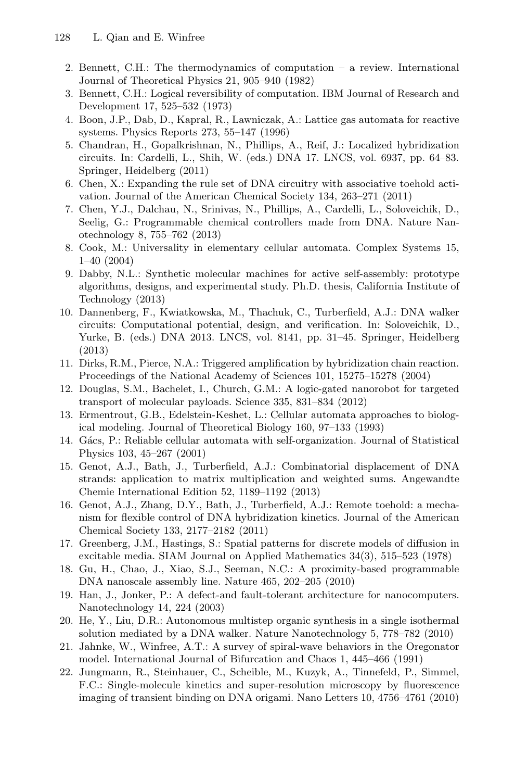- <span id="page-14-5"></span><span id="page-14-3"></span><span id="page-14-0"></span>2. Bennett, C.H.: The thermodynamics of computation – a review. International Journal of Theoretical Physics 21, 905–940 (1982)
- <span id="page-14-2"></span>3. Bennett, C.H.: Logical reversibility of computation. IBM Journal of Research and Development 17, 525–532 (1973)
- 4. Boon, J.P., Dab, D., Kapral, R., Lawniczak, A.: Lattice gas automata for reactive systems. Physics Reports 273, 55–147 (1996)
- <span id="page-14-11"></span>5. Chandran, H., Gopalkrishnan, N., Phillips, A., Reif, J.: Localized hybridization circuits. In: Cardelli, L., Shih, W. (eds.) DNA 17. LNCS, vol. 6937, pp. 64–83. Springer, Heidelberg (2011)
- 6. Chen, X.: Expanding the rule set of DNA circuitry with associative toehold activation. Journal of the American Chemical Society 134, 263–271 (2011)
- <span id="page-14-1"></span>7. Chen, Y.J., Dalchau, N., Srinivas, N., Phillips, A., Cardelli, L., Soloveichik, D., Seelig, G.: Programmable chemical controllers made from DNA. Nature Nanotechnology 8, 755–762 (2013)
- <span id="page-14-4"></span>8. Cook, M.: Universality in elementary cellular automata. Complex Systems 15, 1–40 (2004)
- <span id="page-14-15"></span>9. Dabby, N.L.: Synthetic molecular machines for active self-assembly: prototype algorithms, designs, and experimental study. Ph.D. thesis, California Institute of Technology (2013)
- <span id="page-14-14"></span><span id="page-14-10"></span>10. Dannenberg, F., Kwiatkowska, M., Thachuk, C., Turberfield, A.J.: DNA walker circuits: Computational potential, design, and verification. In: Soloveichik, D., Yurke, B. (eds.) DNA 2013. LNCS, vol. 8141, pp. 31–45. Springer, Heidelberg (2013)
- <span id="page-14-6"></span>11. Dirks, R.M., Pierce, N.A.: Triggered amplification by hybridization chain reaction. Proceedings of the National Academy of Sciences 101, 15275–15278 (2004)
- <span id="page-14-12"></span>12. Douglas, S.M., Bachelet, I., Church, G.M.: A logic-gated nanorobot for targeted transport of molecular payloads. Science 335, 831–834 (2012)
- 13. Ermentrout, G.B., Edelstein-Keshet, L.: Cellular automata approaches to biological modeling. Journal of Theoretical Biology 160, 97–133 (1993)
- <span id="page-14-8"></span>14. Gács, P.: Reliable cellular automata with self-organization. Journal of Statistical Physics 103, 45–267 (2001)
- <span id="page-14-16"></span>15. Genot, A.J., Bath, J., Turberfield, A.J.: Combinatorial displacement of DNA strands: application to matrix multiplication and weighted sums. Angewandte Chemie International Edition 52, 1189–1192 (2013)
- <span id="page-14-17"></span><span id="page-14-13"></span>16. Genot, A.J., Zhang, D.Y., Bath, J., Turberfield, A.J.: Remote toehold: a mechanism for flexible control of DNA hybridization kinetics. Journal of the American Chemical Society 133, 2177–2182 (2011)
- <span id="page-14-9"></span>17. Greenberg, J.M., Hastings, S.: Spatial patterns for discrete models of diffusion in excitable media. SIAM Journal on Applied Mathematics 34(3), 515–523 (1978)
- <span id="page-14-7"></span>18. Gu, H., Chao, J., Xiao, S.J., Seeman, N.C.: A proximity-based programmable DNA nanoscale assembly line. Nature 465, 202–205 (2010)
- 19. Han, J., Jonker, P.: A defect-and fault-tolerant architecture for nanocomputers. Nanotechnology 14, 224 (2003)
- 20. He, Y., Liu, D.R.: Autonomous multistep organic synthesis in a single isothermal solution mediated by a DNA walker. Nature Nanotechnology 5, 778–782 (2010)
- 21. Jahnke, W., Winfree, A.T.: A survey of spiral-wave behaviors in the Oregonator model. International Journal of Bifurcation and Chaos 1, 445–466 (1991)
- 22. Jungmann, R., Steinhauer, C., Scheible, M., Kuzyk, A., Tinnefeld, P., Simmel, F.C.: Single-molecule kinetics and super-resolution microscopy by fluorescence imaging of transient binding on DNA origami. Nano Letters 10, 4756–4761 (2010)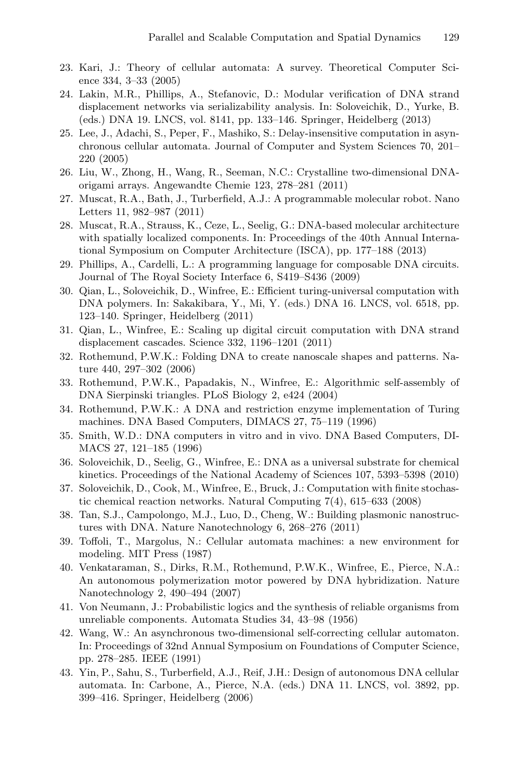- <span id="page-15-13"></span><span id="page-15-7"></span><span id="page-15-5"></span>23. Kari, J.: Theory of cellular automata: A survey. Theoretical Computer Science 334, 3–33 (2005)
- 24. Lakin, M.R., Phillips, A., Stefanovic, D.: Modular verification of DNA strand displacement networks via serializability analysis. In: Soloveichik, D., Yurke, B. (eds.) DNA 19. LNCS, vol. 8141, pp. 133–146. Springer, Heidelberg (2013)
- <span id="page-15-0"></span>25. Lee, J., Adachi, S., Peper, F., Mashiko, S.: Delay-insensitive computation in asynchronous cellular automata. Journal of Computer and System Sciences 70, 201– 220 (2005)
- <span id="page-15-12"></span><span id="page-15-4"></span>26. Liu, W., Zhong, H., Wang, R., Seeman, N.C.: Crystalline two-dimensional DNAorigami arrays. Angewandte Chemie 123, 278–281 (2011)
- 27. Muscat, R.A., Bath, J., Turberfield, A.J.: A programmable molecular robot. Nano Letters 11, 982–987 (2011)
- <span id="page-15-6"></span>28. Muscat, R.A., Strauss, K., Ceze, L., Seelig, G.: DNA-based molecular architecture with spatially localized components. In: Proceedings of the 40th Annual International Symposium on Computer Architecture (ISCA), pp. 177–188 (2013)
- <span id="page-15-8"></span><span id="page-15-2"></span>29. Phillips, A., Cardelli, L.: A programming language for composable DNA circuits. Journal of The Royal Society Interface 6, S419–S436 (2009)
- 30. Qian, L., Soloveichik, D., Winfree, E.: Efficient turing-universal computation with DNA polymers. In: Sakakibara, Y., Mi, Y. (eds.) DNA 16. LNCS, vol. 6518, pp. 123–140. Springer, Heidelberg (2011)
- 31. Qian, L., Winfree, E.: Scaling up digital circuit computation with DNA strand displacement cascades. Science 332, 1196–1201 (2011)
- <span id="page-15-1"></span>32. Rothemund, P.W.K.: Folding DNA to create nanoscale shapes and patterns. Nature 440, 297–302 (2006)
- <span id="page-15-3"></span>33. Rothemund, P.W.K., Papadakis, N., Winfree, E.: Algorithmic self-assembly of DNA Sierpinski triangles. PLoS Biology 2, e424 (2004)
- <span id="page-15-14"></span>34. Rothemund, P.W.K.: A DNA and restriction enzyme implementation of Turing machines. DNA Based Computers, DIMACS 27, 75–119 (1996)
- 35. Smith, W.D.: DNA computers in vitro and in vivo. DNA Based Computers, DI-MACS 27, 121–185 (1996)
- 36. Soloveichik, D., Seelig, G., Winfree, E.: DNA as a universal substrate for chemical kinetics. Proceedings of the National Academy of Sciences 107, 5393–5398 (2010)
- <span id="page-15-10"></span>37. Soloveichik, D., Cook, M., Winfree, E., Bruck, J.: Computation with finite stochastic chemical reaction networks. Natural Computing 7(4), 615–633 (2008)
- <span id="page-15-11"></span>38. Tan, S.J., Campolongo, M.J., Luo, D., Cheng, W.: Building plasmonic nanostructures with DNA. Nature Nanotechnology 6, 268–276 (2011)
- 39. Toffoli, T., Margolus, N.: Cellular automata machines: a new environment for modeling. MIT Press (1987)
- <span id="page-15-9"></span>40. Venkataraman, S., Dirks, R.M., Rothemund, P.W.K., Winfree, E., Pierce, N.A.: An autonomous polymerization motor powered by DNA hybridization. Nature Nanotechnology 2, 490–494 (2007)
- 41. Von Neumann, J.: Probabilistic logics and the synthesis of reliable organisms from unreliable components. Automata Studies 34, 43–98 (1956)
- 42. Wang, W.: An asynchronous two-dimensional self-correcting cellular automaton. In: Proceedings of 32nd Annual Symposium on Foundations of Computer Science, pp. 278–285. IEEE (1991)
- 43. Yin, P., Sahu, S., Turberfield, A.J., Reif, J.H.: Design of autonomous DNA cellular automata. In: Carbone, A., Pierce, N.A. (eds.) DNA 11. LNCS, vol. 3892, pp. 399–416. Springer, Heidelberg (2006)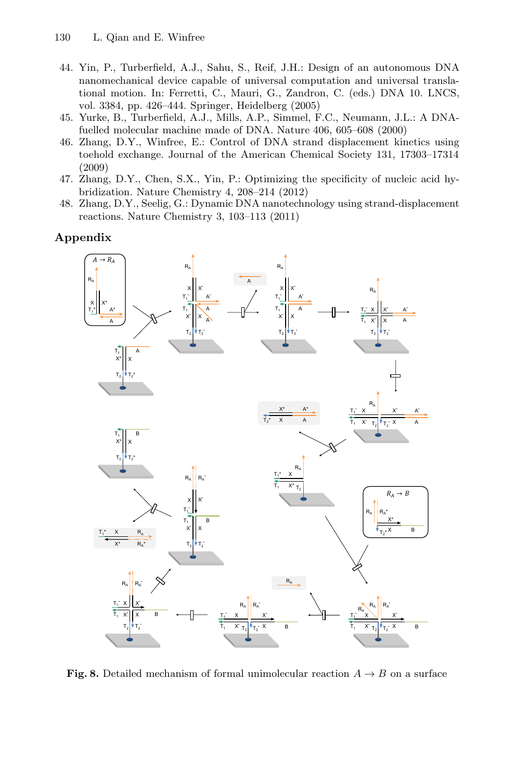- <span id="page-16-1"></span>44. Yin, P., Turberfield, A.J., Sahu, S., Reif, J.H.: Design of an autonomous DNA nanomechanical device capable of universal computation and universal translational motion. In: Ferretti, C., Mauri, G., Zandron, C. (eds.) DNA 10. LNCS, vol. 3384, pp. 426–444. Springer, Heidelberg (2005)
- <span id="page-16-0"></span>45. Yurke, B., Turberfield, A.J., Mills, A.P., Simmel, F.C., Neumann, J.L.: A DNAfuelled molecular machine made of DNA. Nature 406, 605–608 (2000)
- 46. Zhang, D.Y., Winfree, E.: Control of DNA strand displacement kinetics using toehold exchange. Journal of the American Chemical Society 131, 17303–17314 (2009)
- 47. Zhang, D.Y., Chen, S.X., Yin, P.: Optimizing the specificity of nucleic acid hybridization. Nature Chemistry 4, 208–214 (2012)
- 48. Zhang, D.Y., Seelig, G.: Dynamic DNA nanotechnology using strand-displacement reactions. Nature Chemistry 3, 103–113 (2011)

### **Appendix**



**Fig. 8.** Detailed mechanism of formal unimolecular reaction  $A \rightarrow B$  on a surface